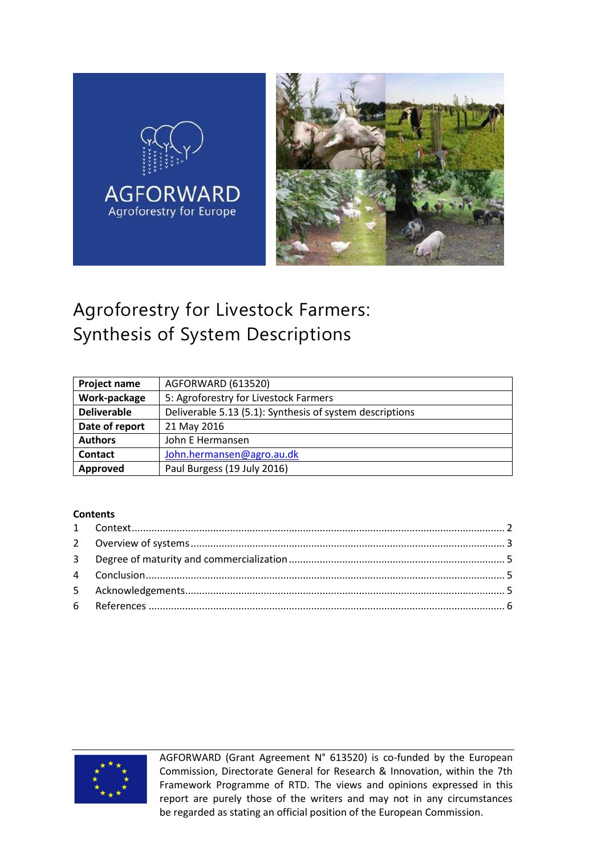

# Agroforestry for Livestock Farmers: Synthesis of System Descriptions

| Project name       | AGFORWARD (613520)                                       |  |  |  |
|--------------------|----------------------------------------------------------|--|--|--|
| Work-package       | 5: Agroforestry for Livestock Farmers                    |  |  |  |
| <b>Deliverable</b> | Deliverable 5.13 (5.1): Synthesis of system descriptions |  |  |  |
| Date of report     | 21 May 2016                                              |  |  |  |
| <b>Authors</b>     | John E Hermansen                                         |  |  |  |
| Contact            | John.hermansen@agro.au.dk                                |  |  |  |
| Approved           | Paul Burgess (19 July 2016)                              |  |  |  |

#### **Contents**



AGFORWARD (Grant Agreement N° 613520) is co-funded by the European Commission, Directorate General for Research & Innovation, within the 7th Framework Programme of RTD. The views and opinions expressed in this report are purely those of the writers and may not in any circumstances be regarded as stating an official position of the European Commission.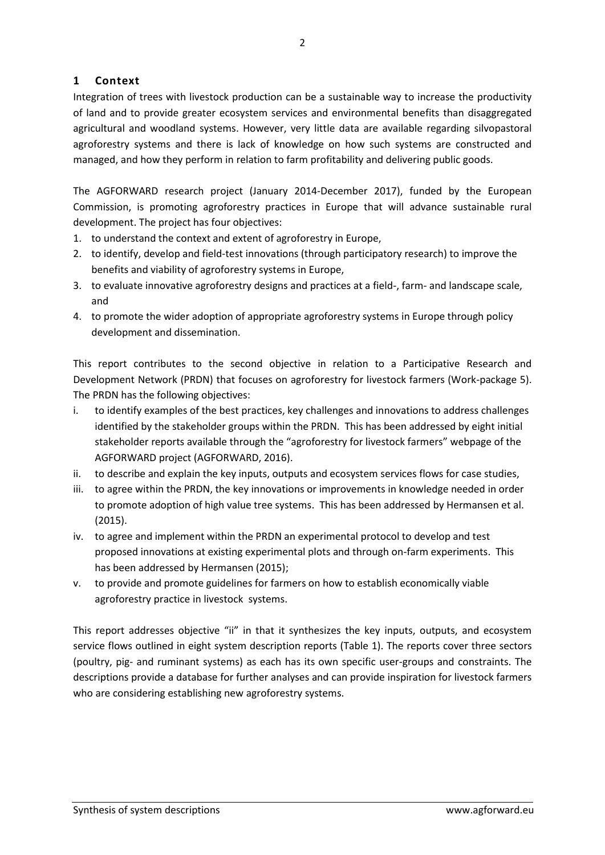## <span id="page-1-0"></span>**1 Context**

Integration of trees with livestock production can be a sustainable way to increase the productivity of land and to provide greater ecosystem services and environmental benefits than disaggregated agricultural and woodland systems. However, very little data are available regarding silvopastoral agroforestry systems and there is lack of knowledge on how such systems are constructed and managed, and how they perform in relation to farm profitability and delivering public goods.

The AGFORWARD research project (January 2014-December 2017), funded by the European Commission, is promoting agroforestry practices in Europe that will advance sustainable rural development. The project has four objectives:

- 1. to understand the context and extent of agroforestry in Europe,
- 2. to identify, develop and field-test innovations (through participatory research) to improve the benefits and viability of agroforestry systems in Europe,
- 3. to evaluate innovative agroforestry designs and practices at a field-, farm- and landscape scale, and
- 4. to promote the wider adoption of appropriate agroforestry systems in Europe through policy development and dissemination.

This report contributes to the second objective in relation to a Participative Research and Development Network (PRDN) that focuses on agroforestry for livestock farmers (Work-package 5). The PRDN has the following objectives:

- i. to identify examples of the best practices, key challenges and innovations to address challenges identified by the stakeholder groups within the PRDN. This has been addressed by eight initial stakeholder reports available through the "agroforestry for livestock farmers" webpage of the AGFORWARD project (AGFORWARD, 2016).
- ii. to describe and explain the key inputs, outputs and ecosystem services flows for case studies,
- iii. to agree within the PRDN, the key innovations or improvements in knowledge needed in order to promote adoption of high value tree systems. This has been addressed by Hermansen et al. (2015).
- iv. to agree and implement within the PRDN an experimental protocol to develop and test proposed innovations at existing experimental plots and through on-farm experiments. This has been addressed by Hermansen (2015);
- v. to provide and promote guidelines for farmers on how to establish economically viable agroforestry practice in livestock systems.

This report addresses objective "ii" in that it synthesizes the key inputs, outputs, and ecosystem service flows outlined in eight system description reports (Table 1). The reports cover three sectors (poultry, pig- and ruminant systems) as each has its own specific user-groups and constraints. The descriptions provide a database for further analyses and can provide inspiration for livestock farmers who are considering establishing new agroforestry systems.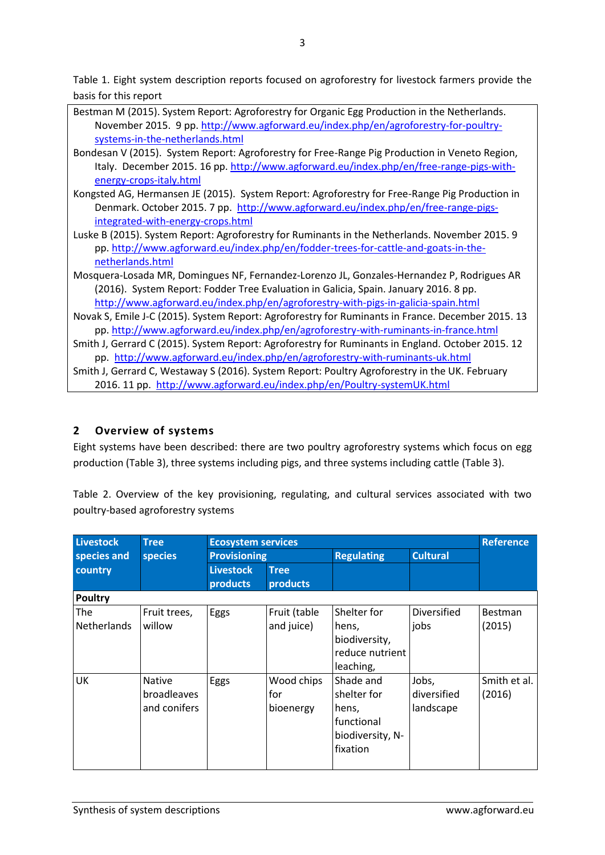Table 1. Eight system description reports focused on agroforestry for livestock farmers provide the basis for this report

| Bestman M (2015). System Report: Agroforestry for Organic Egg Production in the Netherlands.<br>November 2015. 9 pp. http://www.agforward.eu/index.php/en/agroforestry-for-poultry- |  |  |  |  |  |
|-------------------------------------------------------------------------------------------------------------------------------------------------------------------------------------|--|--|--|--|--|
| systems-in-the-netherlands.html                                                                                                                                                     |  |  |  |  |  |
| Bondesan V (2015). System Report: Agroforestry for Free-Range Pig Production in Veneto Region,                                                                                      |  |  |  |  |  |
| Italy. December 2015. 16 pp. http://www.agforward.eu/index.php/en/free-range-pigs-with-                                                                                             |  |  |  |  |  |
| energy-crops-italy.html                                                                                                                                                             |  |  |  |  |  |
| Kongsted AG, Hermansen JE (2015). System Report: Agroforestry for Free-Range Pig Production in                                                                                      |  |  |  |  |  |
| Denmark. October 2015. 7 pp. http://www.agforward.eu/index.php/en/free-range-pigs-                                                                                                  |  |  |  |  |  |
| integrated-with-energy-crops.html                                                                                                                                                   |  |  |  |  |  |
| Luske B (2015). System Report: Agroforestry for Ruminants in the Netherlands. November 2015. 9                                                                                      |  |  |  |  |  |
| pp. http://www.agforward.eu/index.php/en/fodder-trees-for-cattle-and-goats-in-the-                                                                                                  |  |  |  |  |  |
| netherlands.html                                                                                                                                                                    |  |  |  |  |  |
| Mosquera-Losada MR, Domingues NF, Fernandez-Lorenzo JL, Gonzales-Hernandez P, Rodrigues AR                                                                                          |  |  |  |  |  |
| (2016). System Report: Fodder Tree Evaluation in Galicia, Spain. January 2016. 8 pp.                                                                                                |  |  |  |  |  |
| http://www.agforward.eu/index.php/en/agroforestry-with-pigs-in-galicia-spain.html                                                                                                   |  |  |  |  |  |
| Novak S, Emile J-C (2015). System Report: Agroforestry for Ruminants in France. December 2015. 13                                                                                   |  |  |  |  |  |
| pp. http://www.agforward.eu/index.php/en/agroforestry-with-ruminants-in-france.html                                                                                                 |  |  |  |  |  |
| Smith J, Gerrard C (2015). System Report: Agroforestry for Ruminants in England. October 2015. 12                                                                                   |  |  |  |  |  |
| pp. http://www.agforward.eu/index.php/en/agroforestry-with-ruminants-uk.html                                                                                                        |  |  |  |  |  |
| Smith J, Gerrard C, Westaway S (2016). System Report: Poultry Agroforestry in the UK. February                                                                                      |  |  |  |  |  |
| 2016. 11 pp. http://www.agforward.eu/index.php/en/Poultry-systemUK.html                                                                                                             |  |  |  |  |  |
|                                                                                                                                                                                     |  |  |  |  |  |

## <span id="page-2-0"></span>**2 Overview of systems**

Eight systems have been described: there are two poultry agroforestry systems which focus on egg production [\(Table 3\)](#page-3-0), three systems including pigs, and three systems including cattle [\(Table 3\)](#page-3-0).

Table 2. Overview of the key provisioning, regulating, and cultural services associated with two poultry-based agroforestry systems

| Livestock                 | <b>Tree</b><br>species                              | <b>Ecosystem services</b>    |                                |                                                                                 |                                   | <b>Reference</b>         |  |  |
|---------------------------|-----------------------------------------------------|------------------------------|--------------------------------|---------------------------------------------------------------------------------|-----------------------------------|--------------------------|--|--|
| species and               |                                                     | <b>Provisioning</b>          |                                | <b>Regulating</b>                                                               | <b>Cultural</b>                   |                          |  |  |
| country                   |                                                     | <b>Livestock</b><br>products | <b>Tree</b><br><b>products</b> |                                                                                 |                                   |                          |  |  |
| <b>Poultry</b>            |                                                     |                              |                                |                                                                                 |                                   |                          |  |  |
| The<br><b>Netherlands</b> | Fruit trees,<br>willow                              | Eggs                         | Fruit (table<br>and juice)     | Shelter for<br>hens,<br>biodiversity,<br>reduce nutrient<br>leaching,           | Diversified<br>jobs               | <b>Bestman</b><br>(2015) |  |  |
| UK                        | <b>Native</b><br><b>broadleaves</b><br>and conifers | Eggs                         | Wood chips<br>for<br>bioenergy | Shade and<br>shelter for<br>hens,<br>functional<br>biodiversity, N-<br>fixation | Jobs,<br>diversified<br>landscape | Smith et al.<br>(2016)   |  |  |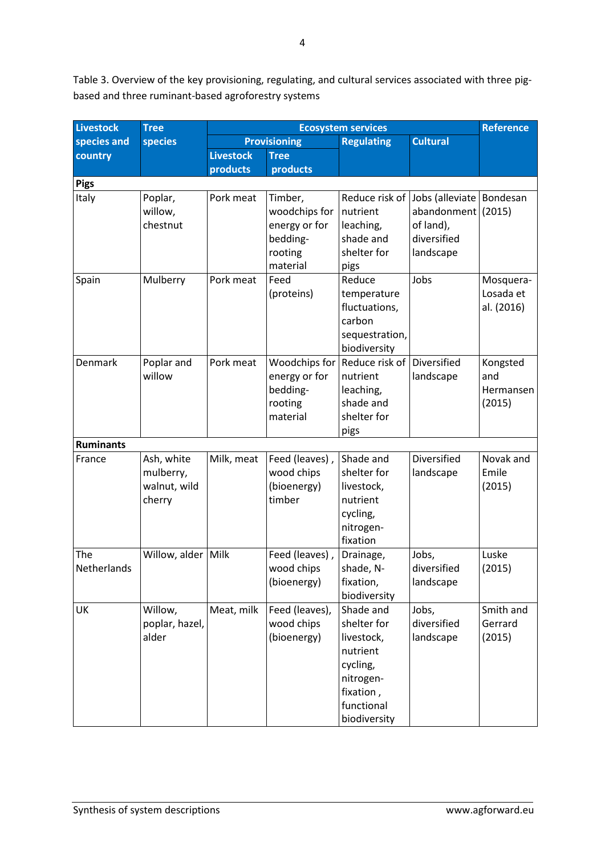<span id="page-3-0"></span>Table 3. Overview of the key provisioning, regulating, and cultural services associated with three pigbased and three ruminant-based agroforestry systems

| <b>Livestock</b>   | <b>Tree</b>                                       | <b>Ecosystem services</b> |                                                                              |                                                                                                                        |                                                                                                          | <b>Reference</b>                       |
|--------------------|---------------------------------------------------|---------------------------|------------------------------------------------------------------------------|------------------------------------------------------------------------------------------------------------------------|----------------------------------------------------------------------------------------------------------|----------------------------------------|
| species and        | species                                           | <b>Provisioning</b>       |                                                                              | <b>Regulating</b>                                                                                                      | <b>Cultural</b>                                                                                          |                                        |
| country            |                                                   | <b>Livestock</b>          | <b>Tree</b>                                                                  |                                                                                                                        |                                                                                                          |                                        |
|                    |                                                   | products                  | products                                                                     |                                                                                                                        |                                                                                                          |                                        |
| <b>Pigs</b>        |                                                   |                           |                                                                              |                                                                                                                        |                                                                                                          |                                        |
| Italy              | Poplar,<br>willow,<br>chestnut                    | Pork meat                 | Timber,<br>woodchips for<br>energy or for<br>bedding-<br>rooting<br>material | nutrient<br>leaching,<br>shade and<br>shelter for<br>pigs                                                              | Reduce risk of Jobs (alleviate Bondesan<br>abandonment $(2015)$<br>of land),<br>diversified<br>landscape |                                        |
| Spain              | Mulberry                                          | Pork meat                 | Feed<br>(proteins)                                                           | Reduce<br>temperature<br>fluctuations,<br>carbon<br>sequestration,<br>biodiversity                                     | Jobs                                                                                                     | Mosquera-<br>Losada et<br>al. (2016)   |
| Denmark            | Poplar and<br>willow                              | Pork meat                 | Woodchips for<br>energy or for<br>bedding-<br>rooting<br>material            | Reduce risk of<br>nutrient<br>leaching,<br>shade and<br>shelter for<br>pigs                                            | Diversified<br>landscape                                                                                 | Kongsted<br>and<br>Hermansen<br>(2015) |
| <b>Ruminants</b>   |                                                   |                           |                                                                              |                                                                                                                        |                                                                                                          |                                        |
| France             | Ash, white<br>mulberry,<br>walnut, wild<br>cherry | Milk, meat                | Feed (leaves),<br>wood chips<br>(bioenergy)<br>timber                        | Shade and<br>shelter for<br>livestock,<br>nutrient<br>cycling,<br>nitrogen-<br>fixation                                | Diversified<br>landscape                                                                                 | Novak and<br>Emile<br>(2015)           |
| The<br>Netherlands | Willow, alder Milk                                |                           | Feed (leaves),<br>wood chips<br>(bioenergy)                                  | Drainage,<br>shade, N-<br>fixation,<br>biodiversity                                                                    | Jobs,<br>diversified<br>landscape                                                                        | Luske<br>(2015)                        |
| UK                 | Willow,<br>poplar, hazel,<br>alder                | Meat, milk                | Feed (leaves),<br>wood chips<br>(bioenergy)                                  | Shade and<br>shelter for<br>livestock,<br>nutrient<br>cycling,<br>nitrogen-<br>fixation,<br>functional<br>biodiversity | Jobs,<br>diversified<br>landscape                                                                        | Smith and<br>Gerrard<br>(2015)         |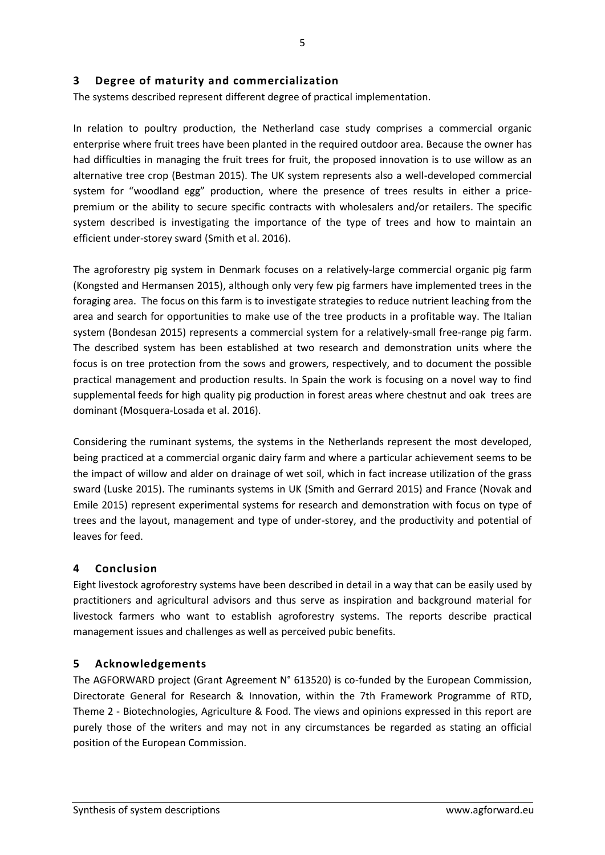### <span id="page-4-0"></span>**3 Degree of maturity and commercialization**

The systems described represent different degree of practical implementation.

In relation to poultry production, the Netherland case study comprises a commercial organic enterprise where fruit trees have been planted in the required outdoor area. Because the owner has had difficulties in managing the fruit trees for fruit, the proposed innovation is to use willow as an alternative tree crop (Bestman 2015). The UK system represents also a well-developed commercial system for "woodland egg" production, where the presence of trees results in either a pricepremium or the ability to secure specific contracts with wholesalers and/or retailers. The specific system described is investigating the importance of the type of trees and how to maintain an efficient under-storey sward (Smith et al. 2016).

The agroforestry pig system in Denmark focuses on a relatively-large commercial organic pig farm (Kongsted and Hermansen 2015), although only very few pig farmers have implemented trees in the foraging area. The focus on this farm is to investigate strategies to reduce nutrient leaching from the area and search for opportunities to make use of the tree products in a profitable way. The Italian system (Bondesan 2015) represents a commercial system for a relatively-small free-range pig farm. The described system has been established at two research and demonstration units where the focus is on tree protection from the sows and growers, respectively, and to document the possible practical management and production results. In Spain the work is focusing on a novel way to find supplemental feeds for high quality pig production in forest areas where chestnut and oak trees are dominant (Mosquera-Losada et al. 2016).

Considering the ruminant systems, the systems in the Netherlands represent the most developed, being practiced at a commercial organic dairy farm and where a particular achievement seems to be the impact of willow and alder on drainage of wet soil, which in fact increase utilization of the grass sward (Luske 2015). The ruminants systems in UK (Smith and Gerrard 2015) and France (Novak and Emile 2015) represent experimental systems for research and demonstration with focus on type of trees and the layout, management and type of under-storey, and the productivity and potential of leaves for feed.

### <span id="page-4-1"></span>**4 Conclusion**

Eight livestock agroforestry systems have been described in detail in a way that can be easily used by practitioners and agricultural advisors and thus serve as inspiration and background material for livestock farmers who want to establish agroforestry systems. The reports describe practical management issues and challenges as well as perceived pubic benefits.

### <span id="page-4-2"></span>**5 Acknowledgements**

The AGFORWARD project (Grant Agreement N° 613520) is co-funded by the European Commission, Directorate General for Research & Innovation, within the 7th Framework Programme of RTD, Theme 2 - Biotechnologies, Agriculture & Food. The views and opinions expressed in this report are purely those of the writers and may not in any circumstances be regarded as stating an official position of the European Commission.